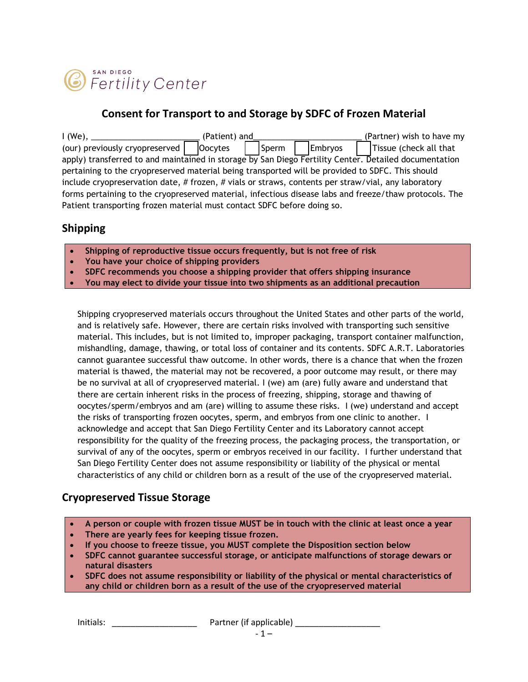

#### **Consent for Transport to and Storage by SDFC of Frozen Material**

| $1$ (We),                                                                                              | (Patient) and    |         | (Partner) wish to have my |
|--------------------------------------------------------------------------------------------------------|------------------|---------|---------------------------|
| (our) previously cryopreserved                                                                         | Oocytes<br>Sperm | Embryos | Tissue (check all that    |
| apply) transferred to and maintained in storage by San Diego Fertility Center. Detailed documentation  |                  |         |                           |
| pertaining to the cryopreserved material being transported will be provided to SDFC. This should       |                  |         |                           |
| include cryopreservation date, # frozen, # vials or straws, contents per straw/vial, any laboratory    |                  |         |                           |
| forms pertaining to the cryopreserved material, infectious disease labs and freeze/thaw protocols. The |                  |         |                           |
| Patient transporting frozen material must contact SDFC before doing so.                                |                  |         |                           |

#### **Shipping**

- **Shipping of reproductive tissue occurs frequently, but is not free of risk**
- **You have your choice of shipping providers**
- **SDFC recommends you choose a shipping provider that offers shipping insurance**
- **You may elect to divide your tissue into two shipments as an additional precaution**

Shipping cryopreserved materials occurs throughout the United States and other parts of the world, and is relatively safe. However, there are certain risks involved with transporting such sensitive material. This includes, but is not limited to, improper packaging, transport container malfunction, mishandling, damage, thawing, or total loss of container and its contents. SDFC A.R.T. Laboratories cannot guarantee successful thaw outcome. In other words, there is a chance that when the frozen material is thawed, the material may not be recovered, a poor outcome may result, or there may be no survival at all of cryopreserved material. I (we) am (are) fully aware and understand that there are certain inherent risks in the process of freezing, shipping, storage and thawing of oocytes/sperm/embryos and am (are) willing to assume these risks. I (we) understand and accept the risks of transporting frozen oocytes, sperm, and embryos from one clinic to another. I acknowledge and accept that San Diego Fertility Center and its Laboratory cannot accept responsibility for the quality of the freezing process, the packaging process, the transportation, or survival of any of the oocytes, sperm or embryos received in our facility. I further understand that San Diego Fertility Center does not assume responsibility or liability of the physical or mental characteristics of any child or children born as a result of the use of the cryopreserved material.

#### **Cryopreserved Tissue Storage**

- **A person or couple with frozen tissue MUST be in touch with the clinic at least once a year**
- **There are yearly fees for keeping tissue frozen.**
- **If you choose to freeze tissue, you MUST complete the Disposition section below**
- **SDFC cannot guarantee successful storage, or anticipate malfunctions of storage dewars or natural disasters**
- **SDFC does not assume responsibility or liability of the physical or mental characteristics of any child or children born as a result of the use of the cryopreserved material**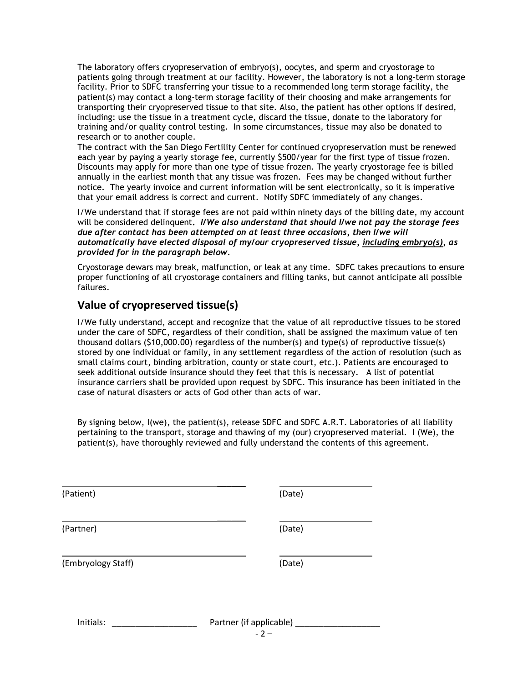The laboratory offers cryopreservation of embryo(s), oocytes, and sperm and cryostorage to patients going through treatment at our facility. However, the laboratory is not a long-term storage facility. Prior to SDFC transferring your tissue to a recommended long term storage facility, the patient(s) may contact a long-term storage facility of their choosing and make arrangements for transporting their cryopreserved tissue to that site. Also, the patient has other options if desired, including: use the tissue in a treatment cycle, discard the tissue, donate to the laboratory for training and/or quality control testing. In some circumstances, tissue may also be donated to research or to another couple.

The contract with the San Diego Fertility Center for continued cryopreservation must be renewed each year by paying a yearly storage fee, currently \$500/year for the first type of tissue frozen. Discounts may apply for more than one type of tissue frozen. The yearly cryostorage fee is billed annually in the earliest month that any tissue was frozen. Fees may be changed without further notice. The yearly invoice and current information will be sent electronically, so it is imperative that your email address is correct and current. Notify SDFC immediately of any changes.

I/We understand that if storage fees are not paid within ninety days of the billing date, my account will be considered delinquent**.** *I/We also understand that should I/we not pay the storage fees due after contact has been attempted on at least three occasions, then I/we will automatically have elected disposal of my/our cryopreserved tissue, including embryo(s), as provided for in the paragraph below.*

Cryostorage dewars may break, malfunction, or leak at any time.SDFC takes precautions to ensure proper functioning of all cryostorage containers and filling tanks, but cannot anticipate all possible failures.

### **Value of cryopreserved tissue(s)**

I/We fully understand, accept and recognize that the value of all reproductive tissues to be stored under the care of SDFC, regardless of their condition, shall be assigned the maximum value of ten thousand dollars (\$10,000.00) regardless of the number(s) and type(s) of reproductive tissue(s) stored by one individual or family, in any settlement regardless of the action of resolution (such as small claims court, binding arbitration, county or state court, etc.). Patients are encouraged to seek additional outside insurance should they feel that this is necessary. A list of potential insurance carriers shall be provided upon request by SDFC. This insurance has been initiated in the case of natural disasters or acts of God other than acts of war.

By signing below, I(we), the patient(s), release SDFC and SDFC A.R.T. Laboratories of all liability pertaining to the transport, storage and thawing of my (our) cryopreserved material. I (We), the patient(s), have thoroughly reviewed and fully understand the contents of this agreement.

 $\overline{\phantom{a}}$ 

 $\overline{\phantom{a}}$ 

 $\overline{\phantom{a}}$ 

(Patient) (Date)

(Partner) (Date)

(Embryology Staff) (Date)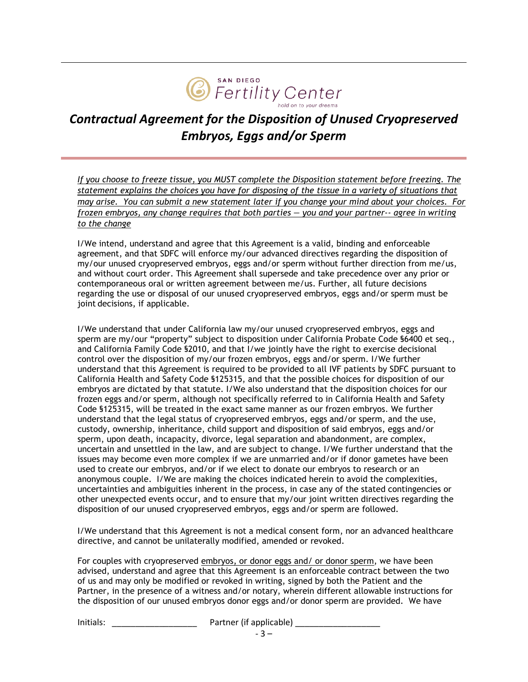

# *Contractual Agreement for the Disposition of Unused Cryopreserved Embryos, Eggs and/or Sperm*

*If you choose to freeze tissue, you MUST complete the Disposition statement before freezing. The statement explains the choices you have for disposing of the tissue in a variety of situations that may arise. You can submit a new statement later if you change your mind about your choices. For frozen embryos, any change requires that both parties — you and your partner-- agree in writing to the change*

I/We intend, understand and agree that this Agreement is a valid, binding and enforceable agreement, and that SDFC will enforce my/our advanced directives regarding the disposition of my/our unused cryopreserved embryos, eggs and/or sperm without further direction from me/us, and without court order. This Agreement shall supersede and take precedence over any prior or contemporaneous oral or written agreement between me/us. Further, all future decisions regarding the use or disposal of our unused cryopreserved embryos, eggs and/or sperm must be joint decisions, if applicable.

I/We understand that under California law my/our unused cryopreserved embryos, eggs and sperm are my/our "property" subject to disposition under California Probate Code §6400 et seq., and California Family Code §2010, and that I/we jointly have the right to exercise decisional control over the disposition of my/our frozen embryos, eggs and/or sperm. I/We further understand that this Agreement is required to be provided to all IVF patients by SDFC pursuant to California Health and Safety Code §125315, and that the possible choices for disposition of our embryos are dictated by that statute. I/We also understand that the disposition choices for our frozen eggs and/or sperm, although not specifically referred to in California Health and Safety Code §125315, will be treated in the exact same manner as our frozen embryos. We further understand that the legal status of cryopreserved embryos, eggs and/or sperm, and the use, custody, ownership, inheritance, child support and disposition of said embryos, eggs and/or sperm, upon death, incapacity, divorce, legal separation and abandonment, are complex, uncertain and unsettled in the law, and are subject to change. I/We further understand that the issues may become even more complex if we are unmarried and/or if donor gametes have been used to create our embryos, and/or if we elect to donate our embryos to research or an anonymous couple. I/We are making the choices indicated herein to avoid the complexities, uncertainties and ambiguities inherent in the process, in case any of the stated contingencies or other unexpected events occur, and to ensure that my/our joint written directives regarding the disposition of our unused cryopreserved embryos, eggs and/or sperm are followed.

I/We understand that this Agreement is not a medical consent form, nor an advanced healthcare directive, and cannot be unilaterally modified, amended or revoked.

For couples with cryopreserved embryos, or donor eggs and/ or donor sperm, we have been advised, understand and agree that this Agreement is an enforceable contract between the two of us and may only be modified or revoked in writing, signed by both the Patient and the Partner, in the presence of a witness and/or notary, wherein different allowable instructions for the disposition of our unused embryos donor eggs and/or donor sperm are provided. We have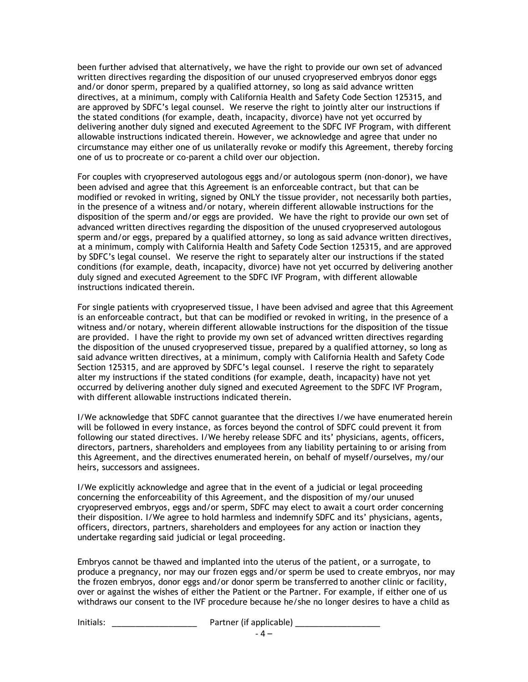been further advised that alternatively, we have the right to provide our own set of advanced written directives regarding the disposition of our unused cryopreserved embryos donor eggs and/or donor sperm, prepared by a qualified attorney, so long as said advance written directives, at a minimum, comply with California Health and Safety Code Section 125315, and are approved by SDFC's legal counsel. We reserve the right to jointly alter our instructions if the stated conditions (for example, death, incapacity, divorce) have not yet occurred by delivering another duly signed and executed Agreement to the SDFC IVF Program, with different allowable instructions indicated therein. However, we acknowledge and agree that under no circumstance may either one of us unilaterally revoke or modify this Agreement, thereby forcing one of us to procreate or co-parent a child over our objection.

For couples with cryopreserved autologous eggs and/or autologous sperm (non-donor), we have been advised and agree that this Agreement is an enforceable contract, but that can be modified or revoked in writing, signed by ONLY the tissue provider, not necessarily both parties, in the presence of a witness and/or notary, wherein different allowable instructions for the disposition of the sperm and/or eggs are provided. We have the right to provide our own set of advanced written directives regarding the disposition of the unused cryopreserved autologous sperm and/or eggs, prepared by a qualified attorney, so long as said advance written directives, at a minimum, comply with California Health and Safety Code Section 125315, and are approved by SDFC's legal counsel. We reserve the right to separately alter our instructions if the stated conditions (for example, death, incapacity, divorce) have not yet occurred by delivering another duly signed and executed Agreement to the SDFC IVF Program, with different allowable instructions indicated therein.

For single patients with cryopreserved tissue, I have been advised and agree that this Agreement is an enforceable contract, but that can be modified or revoked in writing, in the presence of a witness and/or notary, wherein different allowable instructions for the disposition of the tissue are provided. I have the right to provide my own set of advanced written directives regarding the disposition of the unused cryopreserved tissue, prepared by a qualified attorney, so long as said advance written directives, at a minimum, comply with California Health and Safety Code Section 125315, and are approved by SDFC's legal counsel. I reserve the right to separately alter my instructions if the stated conditions (for example, death, incapacity) have not yet occurred by delivering another duly signed and executed Agreement to the SDFC IVF Program, with different allowable instructions indicated therein.

I/We acknowledge that SDFC cannot guarantee that the directives I/we have enumerated herein will be followed in every instance, as forces beyond the control of SDFC could prevent it from following our stated directives. I/We hereby release SDFC and its' physicians, agents, officers, directors, partners, shareholders and employees from any liability pertaining to or arising from this Agreement, and the directives enumerated herein, on behalf of myself/ourselves, my/our heirs, successors and assignees.

I/We explicitly acknowledge and agree that in the event of a judicial or legal proceeding concerning the enforceability of this Agreement, and the disposition of my/our unused cryopreserved embryos, eggs and/or sperm, SDFC may elect to await a court order concerning their disposition. I/We agree to hold harmless and indemnify SDFC and its' physicians, agents, officers, directors, partners, shareholders and employees for any action or inaction they undertake regarding said judicial or legal proceeding.

Embryos cannot be thawed and implanted into the uterus of the patient, or a surrogate, to produce a pregnancy, nor may our frozen eggs and/or sperm be used to create embryos, nor may the frozen embryos, donor eggs and/or donor sperm be transferred to another clinic or facility, over or against the wishes of either the Patient or the Partner. For example, if either one of us withdraws our consent to the IVF procedure because he/she no longer desires to have a child as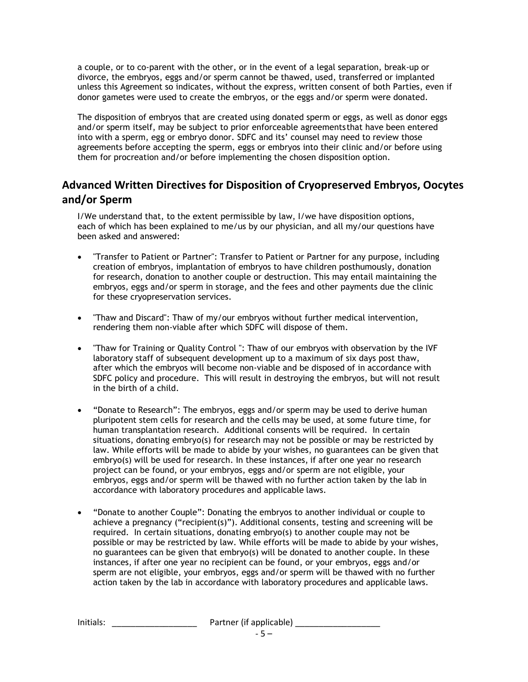a couple, or to co-parent with the other, or in the event of a legal separation, break-up or divorce, the embryos, eggs and/or sperm cannot be thawed, used, transferred or implanted unless this Agreement so indicates, without the express, written consent of both Parties, even if donor gametes were used to create the embryos, or the eggs and/or sperm were donated.

The disposition of embryos that are created using donated sperm or eggs, as well as donor eggs and/or sperm itself, may be subject to prior enforceable agreements that have been entered into with a sperm, egg or embryo donor. SDFC and its' counsel may need to review those agreements before accepting the sperm, eggs or embryos into their clinic and/or before using them for procreation and/or before implementing the chosen disposition option.

## **Advanced Written Directives for Disposition of Cryopreserved Embryos, Oocytes and/or Sperm**

I/We understand that, to the extent permissible by law, I/we have disposition options, each of which has been explained to me/us by our physician, and all my/our questions have been asked and answered:

- "Transfer to Patient or Partner": Transfer to Patient or Partner for any purpose, including creation of embryos, implantation of embryos to have children posthumously, donation for research, donation to another couple or destruction. This may entail maintaining the embryos, eggs and/or sperm in storage, and the fees and other payments due the clinic for these cryopreservation services.
- "Thaw and Discard": Thaw of my/our embryos without further medical intervention, rendering them non-viable after which SDFC will dispose of them.
- "Thaw for Training or Quality Control ": Thaw of our embryos with observation by the IVF laboratory staff of subsequent development up to a maximum of six days post thaw, after which the embryos will become non-viable and be disposed of in accordance with SDFC policy and procedure. This will result in destroying the embryos, but will not result in the birth of a child.
- "Donate to Research": The embryos, eggs and/or sperm may be used to derive human pluripotent stem cells for research and the cells may be used, at some future time, for human transplantation research. Additional consents will be required. In certain situations, donating embryo(s) for research may not be possible or may be restricted by law. While efforts will be made to abide by your wishes, no guarantees can be given that embryo(s) will be used for research. In these instances, if after one year no research project can be found, or your embryos, eggs and/or sperm are not eligible, your embryos, eggs and/or sperm will be thawed with no further action taken by the lab in accordance with laboratory procedures and applicable laws.
- "Donate to another Couple": Donating the embryos to another individual or couple to achieve a pregnancy ("recipient(s)"). Additional consents, testing and screening will be required. In certain situations, donating embryo(s) to another couple may not be possible or may be restricted by law. While efforts will be made to abide by your wishes, no guarantees can be given that embryo(s) will be donated to another couple. In these instances, if after one year no recipient can be found, or your embryos, eggs and/or sperm are not eligible, your embryos, eggs and/or sperm will be thawed with no further action taken by the lab in accordance with laboratory procedures and applicable laws.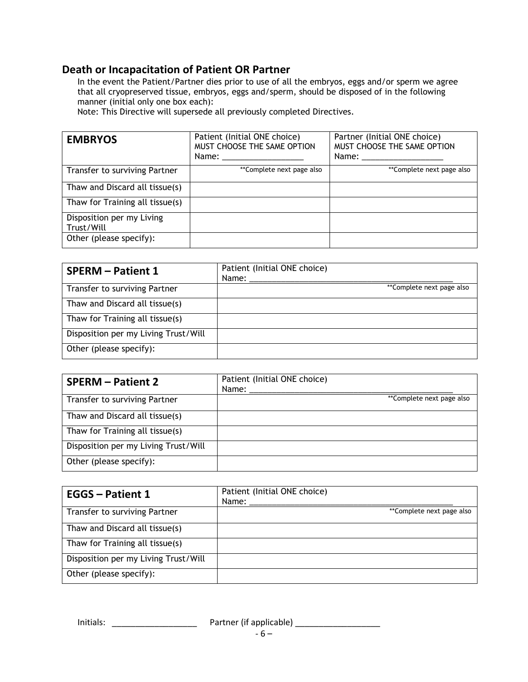#### **Death or Incapacitation of Patient OR Partner**

In the event the Patient/Partner dies prior to use of all the embryos, eggs and/or sperm we agree that all cryopreserved tissue, embryos, eggs and/sperm, should be disposed of in the following manner (initial only one box each):

Note: This Directive will supersede all previously completed Directives.

| <b>EMBRYOS</b>                          | Patient (Initial ONE choice)<br>MUST CHOOSE THE SAME OPTION | Partner (Initial ONE choice)<br>MUST CHOOSE THE SAME OPTION |
|-----------------------------------------|-------------------------------------------------------------|-------------------------------------------------------------|
| Transfer to surviving Partner           | **Complete next page also                                   | **Complete next page also                                   |
| Thaw and Discard all tissue(s)          |                                                             |                                                             |
| Thaw for Training all tissue(s)         |                                                             |                                                             |
| Disposition per my Living<br>Trust/Will |                                                             |                                                             |
| Other (please specify):                 |                                                             |                                                             |

| <b>SPERM - Patient 1</b>             | Patient (Initial ONE choice)<br>Name: |
|--------------------------------------|---------------------------------------|
| Transfer to surviving Partner        | **Complete next page also             |
| Thaw and Discard all tissue(s)       |                                       |
| Thaw for Training all tissue(s)      |                                       |
| Disposition per my Living Trust/Will |                                       |
| Other (please specify):              |                                       |

| <b>SPERM - Patient 2</b>             | Patient (Initial ONE choice)<br>Name: |
|--------------------------------------|---------------------------------------|
| Transfer to surviving Partner        | **Complete next page also             |
| Thaw and Discard all tissue(s)       |                                       |
| Thaw for Training all tissue(s)      |                                       |
| Disposition per my Living Trust/Will |                                       |
| Other (please specify):              |                                       |

| <b>EGGS - Patient 1</b>              | Patient (Initial ONE choice)<br>Name: $\_\_$ |
|--------------------------------------|----------------------------------------------|
| Transfer to surviving Partner        | **Complete next page also                    |
| Thaw and Discard all tissue(s)       |                                              |
| Thaw for Training all tissue(s)      |                                              |
| Disposition per my Living Trust/Will |                                              |
| Other (please specify):              |                                              |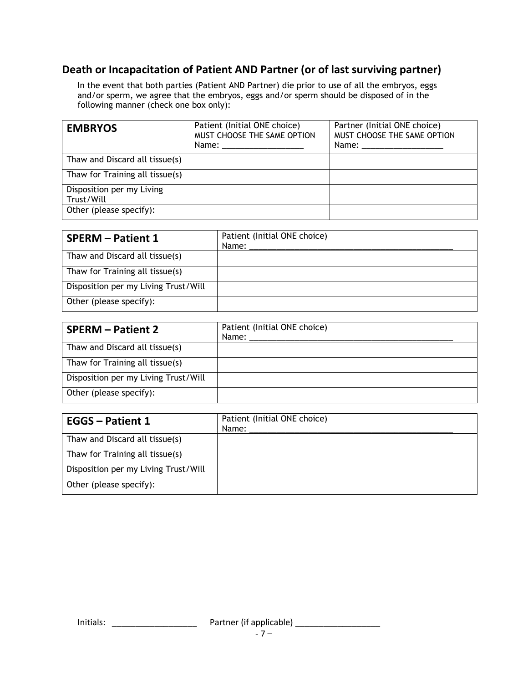## **Death or Incapacitation of Patient AND Partner (or of last surviving partner)**

In the event that both parties (Patient AND Partner) die prior to use of all the embryos, eggs and/or sperm, we agree that the embryos, eggs and/or sperm should be disposed of in the following manner (check one box only):

| <b>EMBRYOS</b>                          | Patient (Initial ONE choice)<br>MUST CHOOSE THE SAME OPTION | Partner (Initial ONE choice)<br>MUST CHOOSE THE SAME OPTION<br>Name: ___________________ |
|-----------------------------------------|-------------------------------------------------------------|------------------------------------------------------------------------------------------|
| Thaw and Discard all tissue(s)          |                                                             |                                                                                          |
| Thaw for Training all tissue(s)         |                                                             |                                                                                          |
| Disposition per my Living<br>Trust/Will |                                                             |                                                                                          |
| Other (please specify):                 |                                                             |                                                                                          |

| <b>SPERM - Patient 1</b>             | Patient (Initial ONE choice)<br>Name: |
|--------------------------------------|---------------------------------------|
| Thaw and Discard all tissue(s)       |                                       |
| Thaw for Training all tissue(s)      |                                       |
| Disposition per my Living Trust/Will |                                       |
| Other (please specify):              |                                       |

| <b>SPERM - Patient 2</b>             | Patient (Initial ONE choice)<br>Name: |
|--------------------------------------|---------------------------------------|
| Thaw and Discard all tissue(s)       |                                       |
| Thaw for Training all tissue(s)      |                                       |
| Disposition per my Living Trust/Will |                                       |
| Other (please specify):              |                                       |

| <b>EGGS - Patient 1</b>              | Patient (Initial ONE choice)<br>Name: |
|--------------------------------------|---------------------------------------|
| Thaw and Discard all tissue(s)       |                                       |
| Thaw for Training all tissue(s)      |                                       |
| Disposition per my Living Trust/Will |                                       |
| Other (please specify):              |                                       |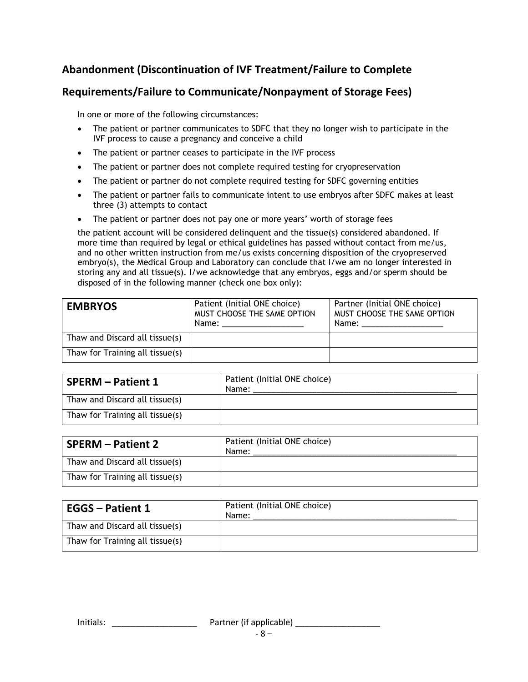## **Abandonment (Discontinuation of IVF Treatment/Failure to Complete**

## **Requirements/Failure to Communicate/Nonpayment of Storage Fees)**

In one or more of the following circumstances:

- The patient or partner communicates to SDFC that they no longer wish to participate in the IVF process to cause a pregnancy and conceive a child
- The patient or partner ceases to participate in the IVF process
- The patient or partner does not complete required testing for cryopreservation
- The patient or partner do not complete required testing for SDFC governing entities
- The patient or partner fails to communicate intent to use embryos after SDFC makes at least three (3) attempts to contact
- The patient or partner does not pay one or more years' worth of storage fees

the patient account will be considered delinquent and the tissue(s) considered abandoned. If more time than required by legal or ethical guidelines has passed without contact from me/us, and no other written instruction from me/us exists concerning disposition of the cryopreserved embryo(s), the Medical Group and Laboratory can conclude that I/we am no longer interested in storing any and all tissue(s). I/we acknowledge that any embryos, eggs and/or sperm should be disposed of in the following manner (check one box only):

| <b>EMBRYOS</b>                  | Patient (Initial ONE choice)<br>MUST CHOOSE THE SAME OPTION<br>Name: _____________________ | Partner (Initial ONE choice)<br>MUST CHOOSE THE SAME OPTION<br>Name: |
|---------------------------------|--------------------------------------------------------------------------------------------|----------------------------------------------------------------------|
| Thaw and Discard all tissue(s)  |                                                                                            |                                                                      |
| Thaw for Training all tissue(s) |                                                                                            |                                                                      |

| <b>SPERM - Patient 1</b>        | Patient (Initial ONE choice)<br>Name: |
|---------------------------------|---------------------------------------|
| Thaw and Discard all tissue(s)  |                                       |
| Thaw for Training all tissue(s) |                                       |

| <b>SPERM – Patient 2</b>        | Patient (Initial ONE choice)<br>Name: |
|---------------------------------|---------------------------------------|
| Thaw and Discard all tissue(s)  |                                       |
| Thaw for Training all tissue(s) |                                       |

| <b>EGGS - Patient 1</b>         | Patient (Initial ONE choice)<br>Name: |
|---------------------------------|---------------------------------------|
| Thaw and Discard all tissue(s)  |                                       |
| Thaw for Training all tissue(s) |                                       |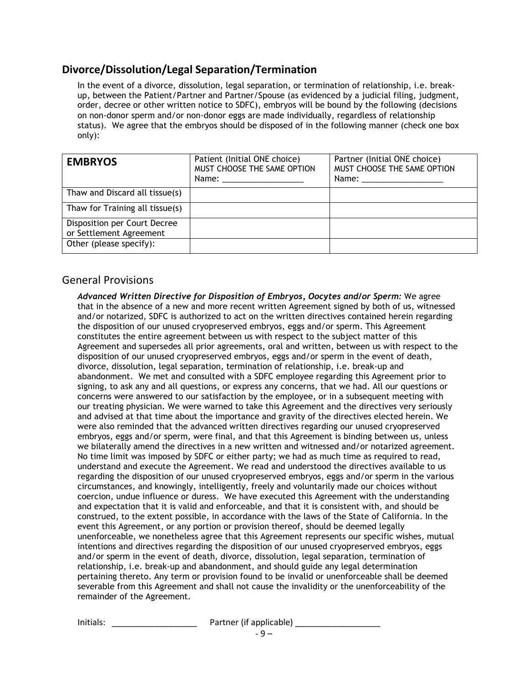#### **Divorce/Dissolution/Legal Separation/Termination**

In the event of a divorce, dissolution, legal separation, or termination of relationship, i.e. breakup, between the Patient/Partner and Partner/Spouse (as evidenced by a judicial filing, judgment, order, decree or other written notice to SDFC), embryos will be bound by the following (decisions on non-donor sperm and/or non-donor eggs are made individually, regardless of relationship status). We agree that the embryos should be disposed of in the following manner (check one box only):

| <b>EMBRYOS</b>                                          | Patient (Initial ONE choice)<br>MUST CHOOSE THE SAME OPTION<br>Name: ______________________ | Partner (Initial ONE choice)<br>MUST CHOOSE THE SAME OPTION<br>Name: ______________________ |
|---------------------------------------------------------|---------------------------------------------------------------------------------------------|---------------------------------------------------------------------------------------------|
| Thaw and Discard all tissue(s)                          |                                                                                             |                                                                                             |
| Thaw for Training all tissue(s)                         |                                                                                             |                                                                                             |
| Disposition per Court Decree<br>or Settlement Agreement |                                                                                             |                                                                                             |
| Other (please specify):                                 |                                                                                             |                                                                                             |

#### General Provisions

*Advanced Written Directive for Disposition of Embryos, Oocytes and/or Sperm:* We agree that in the absence of a new and more recent written Agreement signed by both of us, witnessed and/or notarized, SDFC is authorized to act on the written directives contained herein regarding the disposition of our unused cryopreserved embryos, eggs and/or sperm. This Agreement constitutes the entire agreement between us with respect to the subject matter of this Agreement and supersedes all prior agreements, oral and written, between us with respect to the disposition of our unused cryopreserved embryos, eggs and/or sperm in the event of death, divorce, dissolution, legal separation, termination of relationship, i.e. break-up and abandonment. We met and consulted with a SDFC employee regarding this Agreement prior to signing, to ask any and all questions, or express any concerns, that we had. All our questions or concerns were answered to our satisfaction by the employee, or in a subsequent meeting with our treating physician. We were warned to take this Agreement and the directives very seriously and advised at that time about the importance and gravity of the directives elected herein. We were also reminded that the advanced written directives regarding our unused cryopreserved embryos, eggs and/or sperm, were final, and that this Agreement is binding between us, unless we bilaterally amend the directives in a new written and witnessed and/or notarized agreement. No time limit was imposed by SDFC or either party; we had as much time as required to read, understand and execute the Agreement. We read and understood the directives available to us regarding the disposition of our unused cryopreserved embryos, eggs and/or sperm in the various circumstances, and knowingly, intelligently, freely and voluntarily made our choices without coercion, undue influence or duress. We have executed this Agreement with the understanding and expectation that it is valid and enforceable, and that it is consistent with, and should be construed, to the extent possible, in accordance with the laws of the State of California. In the event this Agreement, or any portion or provision thereof, should be deemed legally unenforceable, we nonetheless agree that this Agreement represents our specific wishes, mutual intentions and directives regarding the disposition of our unused cryopreserved embryos, eggs and/or sperm in the event of death, divorce, dissolution, legal separation, termination of relationship, i.e. break-up and abandonment, and should guide any legal determination pertaining thereto. Any term or provision found to be invalid or unenforceable shall be deemed severable from this Agreement and shall not cause the invalidity or the unenforceability of the remainder of the Agreement.